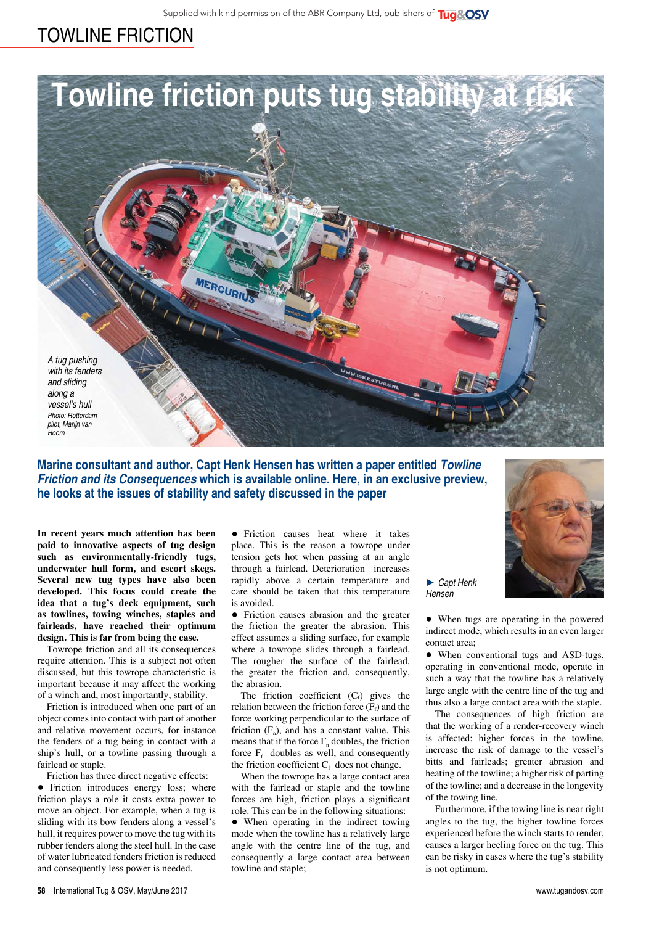## towline friction



**Marine consultant and author, Capt Henk Hensen has written a paper entitled** *Towline Friction and its Consequences* **which is available online. Here, in an exclusive preview, he looks at the issues of stability and safety discussed in the paper**

**In recent years much attention has been paid to innovative aspects of tug design such as environmentally-friendly tugs, underwater hull form, and escort skegs. Several new tug types have also been developed. This focus could create the idea that a tug's deck equipment, such as towlines, towing winches, staples and fairleads, have reached their optimum design. This is far from being the case.** 

Towrope friction and all its consequences require attention. This is a subject not often discussed, but this towrope characteristic is important because it may affect the working of a winch and, most importantly, stability.

Friction is introduced when one part of an object comes into contact with part of another and relative movement occurs, for instance the fenders of a tug being in contact with a ship's hull, or a towline passing through a fairlead or staple.

Friction has three direct negative effects: • Friction introduces energy loss; where friction plays a role it costs extra power to move an object. For example, when a tug is sliding with its bow fenders along a vessel's hull, it requires power to move the tug with its rubber fenders along the steel hull. In the case of water lubricated fenders friction is reduced and consequently less power is needed.

• Friction causes heat where it takes place. This is the reason a towrope under tension gets hot when passing at an angle through a fairlead. Deterioration increases rapidly above a certain temperature and care should be taken that this temperature is avoided.

• Friction causes abrasion and the greater the friction the greater the abrasion. This effect assumes a sliding surface, for example where a towrope slides through a fairlead. The rougher the surface of the fairlead, the greater the friction and, consequently, the abrasion.

The friction coefficient  $(C_f)$  gives the relation between the friction force  $(F_f)$  and the force working perpendicular to the surface of friction  $(F_n)$ , and has a constant value. This means that if the force  $F_n$  doubles, the friction force  $F_f$  doubles as well, and consequently the friction coefficient  $C_f$  does not change.

When the towrope has a large contact area with the fairlead or staple and the towline forces are high, friction plays a significant role. This can be in the following situations:

• When operating in the indirect towing mode when the towline has a relatively large angle with the centre line of the tug, and consequently a large contact area between towline and staple;

► *Capt Henk Hensen*

• When tugs are operating in the powered indirect mode, which results in an even larger contact area;

• When conventional tugs and ASD-tugs, operating in conventional mode, operate in such a way that the towline has a relatively large angle with the centre line of the tug and thus also a large contact area with the staple.

The consequences of high friction are that the working of a render-recovery winch is affected; higher forces in the towline, increase the risk of damage to the vessel's bitts and fairleads; greater abrasion and heating of the towline; a higher risk of parting of the towline; and a decrease in the longevity of the towing line.

Furthermore, if the towing line is near right angles to the tug, the higher towline forces experienced before the winch starts to render, causes a larger heeling force on the tug. This can be risky in cases where the tug's stability is not optimum.